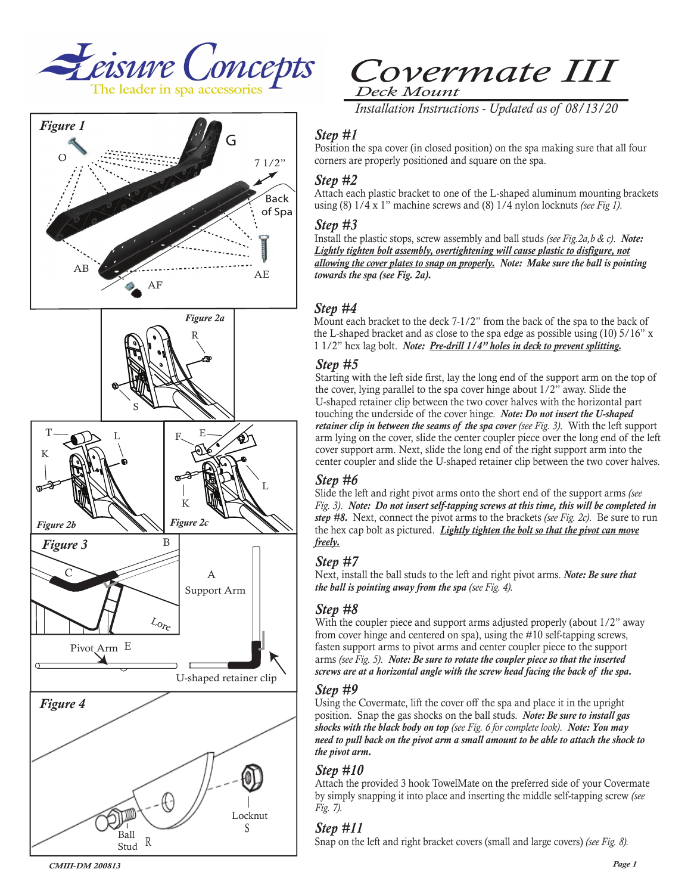



*Covermate III Deck Mount*

*Installation Instructions - Updated as of 08/13/20*

### *Step #1*

Position the spa cover (in closed position) on the spa making sure that all four corners are properly positioned and square on the spa.

### *Step #2*

Attach each plastic bracket to one of the L-shaped aluminum mounting brackets using (8) 1/4 x 1" machine screws and (8) 1/4 nylon locknuts *(see Fig 1)*.

#### *Step #3*

Install the plastic stops, screw assembly and ball studs *(see Fig.2a,b & c)*. *Note: Lightly tighten bolt assembly, overtightening will cause plastic to disfigure, not allowing the cover plates to snap on properly. Note: Make sure the ball is pointing towards the spa (see Fig. 2a).*

## *Step #4*

Mount each bracket to the deck 7-1/2" from the back of the spa to the back of the L-shaped bracket and as close to the spa edge as possible using (10) 5/16" x 1 1/2" hex lag bolt. *Note: Pre-drill 1/4" holes in deck to prevent splitting.*

### *Step #5*

Starting with the left side first, lay the long end of the support arm on the top of the cover, lying parallel to the spa cover hinge about  $1/2$ <sup>"</sup> away. Slide the U-shaped retainer clip between the two cover halves with the horizontal part touching the underside of the cover hinge. *Note: Do not insert the U-shaped retainer clip in between the seams of the spa cover (see Fig. 3)*. With the left support arm lying on the cover, slide the center coupler piece over the long end of the left cover support arm. Next, slide the long end of the right support arm into the center coupler and slide the U-shaped retainer clip between the two cover halves.

#### *Step #6*

Slide the left and right pivot arms onto the short end of the support arms *(see Fig. 3)*. *Note: Do not insert self-tapping screws at this time, this will be completed in step #8.* Next, connect the pivot arms to the brackets *(see Fig. 2c)*. Be sure to run the hex cap bolt as pictured. *Lightly tighten the bolt so that the pivot can move freely.*

## *Step #7*

Next, install the ball studs to the left and right pivot arms. *Note: Be sure that the ball is pointing away from the spa (see Fig. 4).*

### *Step #8*

With the coupler piece and support arms adjusted properly (about  $1/2$ " away from cover hinge and centered on spa), using the #10 self-tapping screws, fasten support arms to pivot arms and center coupler piece to the support arms *(see Fig. 5)*. *Note: Be sure to rotate the coupler piece so that the inserted screws are at a horizontal angle with the screw head facing the back of the spa.* 

### *Step #9*

Using the Covermate, lift the cover off the spa and place it in the upright position. Snap the gas shocks on the ball studs. *Note: Be sure to install gas shocks with the black body on top (see Fig. 6 for complete look)*. *Note: You may need to pull back on the pivot arm a small amount to be able to attach the shock to the pivot arm.*

### *Step #10*

Attach the provided 3 hook TowelMate on the preferred side of your Covermate by simply snapping it into place and inserting the middle self-tapping screw *(see Fig. 7).*

### *Step #11*

Snap on the left and right bracket covers (small and large covers) *(see Fig. 8).*